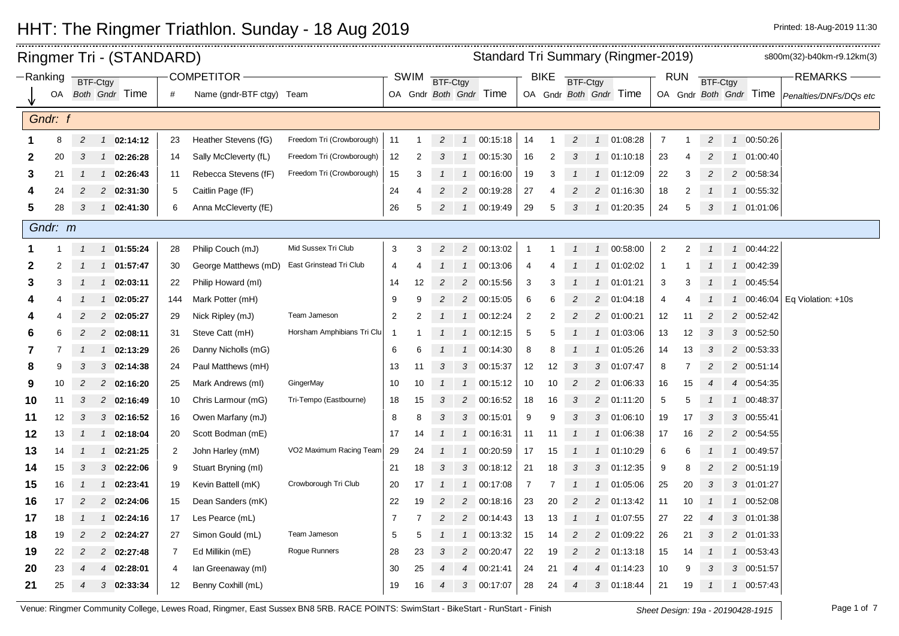|    |          |                  |                | Ringmer Tri - (STANDARD) |     |                           |                            | <b>Standard Tri Summary (Ringmer-2019)</b> |                |                 |                |                        |                |             |                 |                |                        |                |            | s800m(32)-b40km-r9.12km(3) |               |            |                                                 |
|----|----------|------------------|----------------|--------------------------|-----|---------------------------|----------------------------|--------------------------------------------|----------------|-----------------|----------------|------------------------|----------------|-------------|-----------------|----------------|------------------------|----------------|------------|----------------------------|---------------|------------|-------------------------------------------------|
|    | -Ranking | BTF-Ctgy         |                |                          |     | <b>COMPETITOR</b>         |                            |                                            | <b>SWIM</b>    | <b>BTF-Ctgy</b> |                |                        |                | <b>BIKE</b> | <b>BTF-Ctgy</b> |                |                        |                | <b>RUN</b> | <b>BTF-Ctgy</b>            |               |            | <b>REMARKS</b>                                  |
|    | OA       |                  |                | Both Gndr Time           | #   | Name (gndr-BTF ctgy) Team |                            |                                            |                |                 |                | OA Gndr Both Gndr Time |                |             |                 |                | OA Gndr Both Gndr Time |                |            |                            |               |            | OA Gndr Both Gndr Time   Penalties/DNFs/DQs etc |
|    | Gndr: f  |                  |                |                          |     |                           |                            |                                            |                |                 |                |                        |                |             |                 |                |                        |                |            |                            |               |            |                                                 |
|    | 8        | $\overline{c}$   | $\mathcal{I}$  | 02:14:12                 | 23  | Heather Stevens (fG)      | Freedom Tri (Crowborough)  | 11                                         | $\mathbf 1$    | $\overline{2}$  | $\overline{1}$ | 00:15:18               | 14             | 1           | $\overline{c}$  |                | 1 01:08:28             | $\overline{7}$ |            | 2                          | $\mathbf{1}$  | 00:50:26   |                                                 |
|    | 2<br>20  | 3                |                | 1 02:26:28               | 14  | Sally McCleverty (fL)     | Freedom Tri (Crowborough)  | 12                                         | 2              | 3               |                | 1 00:15:30             | 16             | 2           | 3               |                | 1 01:10:18             | 23             |            | 2                          |               | 1 01:00:40 |                                                 |
|    | 3<br>21  |                  | $\mathcal{I}$  | 02:26:43                 | 11  | Rebecca Stevens (fF)      | Freedom Tri (Crowborough)  | 15                                         | 3              | 1               | $\mathcal{I}$  | 00:16:00               | 19             | 3           |                 | $\mathcal{I}$  | 01:12:09               | 22             | 3          | 2                          |               | 2 00:58:34 |                                                 |
|    | 24       | 2                |                | 2 02:31:30               | 5   | Caitlin Page (fF)         |                            | 24                                         | 4              | $\overline{2}$  |                | 2 00:19:28             | 27             | 4           | 2               | $\overline{c}$ | 01:16:30               | 18             | 2          |                            |               | 1 00:55:32 |                                                 |
|    | 5<br>28  | 3                |                | 1 02:41:30               | 6   | Anna McCleverty (fE)      |                            | 26                                         | 5              | $\overline{c}$  |                | 1 00:19:49             | 29             | 5           | 3               |                | 1 01:20:35             | 24             | 5          | 3                          |               | 1 01:01:06 |                                                 |
|    | Gndr: m  |                  |                |                          |     |                           |                            |                                            |                |                 |                |                        |                |             |                 |                |                        |                |            |                            |               |            |                                                 |
|    |          | $\mathcal I$     |                | 1 01:55:24               | 28  | Philip Couch (mJ)         | Mid Sussex Tri Club        | 3                                          | 3              | $\overline{2}$  |                | 2 00:13:02             | $\overline{1}$ | 1           | $\mathbf{1}$    |                | 1 00:58:00             | $\overline{2}$ | 2          |                            |               | 1 00:44:22 |                                                 |
|    | 2<br>2   |                  |                | 1 01:57:47               | 30  | George Matthews (mD)      | East Grinstead Tri Club    | 4                                          | 4              |                 |                | 1 00:13:06             | $\overline{4}$ |             |                 |                | 101:02:02              | $\mathbf{1}$   |            |                            |               | 1 00:42:39 |                                                 |
|    | 3<br>3   |                  | $\mathcal{I}$  | 02:03:11                 | 22  | Philip Howard (ml)        |                            | 14                                         | 12             | $\overline{2}$  |                | 2 00:15:56             | 3              | 3           |                 |                | 1 01:01:21             | 3              | 3          |                            | $\mathbf{1}$  | 00:45:54   |                                                 |
| 4  | 4        |                  | $\overline{1}$ | 02:05:27                 | 144 | Mark Potter (mH)          |                            | 9                                          | 9              | $\overline{c}$  |                | 2 00:15:05             | 6              | 6           | 2               |                | 2 01:04:18             | 4              |            |                            | $\mathcal{I}$ |            | 00:46:04 Eq Violation: +10s                     |
| 4  | 4        | 2                | $\overline{c}$ | 02:05:27                 | 29  | Nick Ripley (mJ)          | Team Jameson               | $\overline{2}$                             | 2              |                 | $\overline{1}$ | 00:12:24               | $\overline{2}$ | 2           | 2               |                | 2 01:00:21             | 12             | 11         | 2                          |               | 2 00:52:42 |                                                 |
|    | 6<br>6   | 2                |                | 2 02:08:11               | 31  | Steve Catt (mH)           | Horsham Amphibians Tri Clu | -1                                         |                | $\mathcal{I}$   | $\mathbf{1}$   | 00:12:15               | 5              | 5           |                 |                | 1 01:03:06             | 13             | 12         | 3                          |               | 3 00:52:50 |                                                 |
|    | 7<br>7   |                  | $\mathcal{I}$  | 02:13:29                 | 26  | Danny Nicholls (mG)       |                            | 6                                          | 6              |                 | $\overline{1}$ | 00:14:30               | 8              | 8           |                 | $\mathcal{I}$  | 01:05:26               | 14             | 13         | 3                          |               | 2 00:53:33 |                                                 |
| 8  | 9        | 3                |                | 3 02:14:38               | 24  | Paul Matthews (mH)        |                            | 13                                         | 11             | 3               | 3              | 00:15:37               | 12             | 12          | 3               |                | 3 01:07:47             | 8              |            | $\overline{c}$             |               | 2 00:51:14 |                                                 |
| 9  | 10       | 2                |                | 2 02:16:20               | 25  | Mark Andrews (ml)         | GingerMay                  | 10                                         | 10             |                 |                | 1 00:15:12             | 10             | 10          | $\overline{c}$  |                | 2 01:06:33             | 16             | 15         |                            |               | 4 00:54:35 |                                                 |
| 10 | 11       | 3                |                | 2 02:16:49               | 10  | Chris Larmour (mG)        | Tri-Tempo (Eastbourne)     | 18                                         | 15             | 3               | $\overline{c}$ | 00:16:52               | 18             | 16          | 3               |                | 2 01:11:20             | 5              | 5          |                            | $\mathcal{I}$ | 00:48:37   |                                                 |
| 11 | 12       | 3                |                | $3$ 02:16:52             | 16  | Owen Marfany (mJ)         |                            | 8                                          | 8              | 3               |                | 3 00:15:01             | 9              | 9           | 3               |                | 3 01:06:10             | 19             | 17         | 3                          |               | 3 00:55:41 |                                                 |
| 12 | 13       |                  |                | 1 02:18:04               | 20  | Scott Bodman (mE)         |                            | 17                                         | 14             | $\mathcal{I}$   |                | 1 00:16:31             | 11             | 11          |                 |                | 1 01:06:38             | 17             | 16         | $\overline{2}$             |               | 2 00:54:55 |                                                 |
| 13 | 14       | $\mathcal I$     |                | $1$ 02:21:25             | 2   | John Harley (mM)          | VO2 Maximum Racing Team    | 29                                         | 24             | $\mathbf{1}$    | $\overline{1}$ | 00:20:59               | 17             | 15          |                 |                | 1 01:10:29             | 6              | 6          | $\overline{1}$             |               | 1 00:49:57 |                                                 |
| 14 | 15       | 3                |                | $3$ 02:22:06             | 9   | Stuart Bryning (ml)       |                            | 21                                         | 18             | 3               |                | 3 00:18:12             | 21             | 18          | 3               |                | 3 01:12:35             | 9              | 8          | 2                          |               | 2 00:51:19 |                                                 |
| 15 | 16       |                  | $\mathcal{I}$  | 02:23:41                 | 19  | Kevin Battell (mK)        | Crowborough Tri Club       | 20                                         | 17             |                 | $\overline{1}$ | 00:17:08               | $\overline{7}$ | 7           |                 |                | 1 01:05:06             | 25             | 20         | 3                          |               | 3 01:01:27 |                                                 |
| 16 | 17       | 2                |                | 2 02:24:06               | 15  | Dean Sanders (mK)         |                            | 22                                         | 19             | $\overline{c}$  |                | 2 00:18:16             | 23             | 20          | 2               |                | 2 01:13:42             | 11             | 10         |                            |               | 1 00:52:08 |                                                 |
| 17 | 18       | -1               | $\mathcal{I}$  | 02:24:16                 | 17  | Les Pearce (mL)           |                            | 7                                          | $\overline{7}$ | $\overline{c}$  |                | 2 00:14:43             | 13             | 13          |                 | $\mathcal{I}$  | 01:07:55               | 27             | 22         | $\overline{4}$             |               | 3 01:01:38 |                                                 |
| 18 | 19       | $\overline{c}$   |                | 2 02:24:27               | 27  | Simon Gould (mL)          | Team Jameson               | 5                                          | 5              | $\mathcal I$    | $\overline{1}$ | 00:13:32               | 15             | 14          | $\overline{c}$  | $\overline{a}$ | 01:09:22               | 26             | 21         | 3                          |               | 2 01:01:33 |                                                 |
| 19 | 22       | 2                |                | 2 02:27:48               | 7   | Ed Millikin (mE)          | Rogue Runners              | 28                                         | 23             | 3               | $\overline{a}$ | 00:20:47               | 22             | 19          | $\overline{c}$  |                | 2 01:13:18             | 15             | 14         |                            |               | 1 00:53:43 |                                                 |
| 20 | 23       | 4                | $\overline{4}$ | 02:28:01                 | 4   | lan Greenaway (ml)        |                            | 30                                         | 25             |                 | $\overline{4}$ | 00:21:41               | 24             | 21          | 4               |                | 4 01:14:23             | 10             | 9          | 3                          |               | 3 00:51:57 |                                                 |
| 21 | 25       | $\boldsymbol{4}$ |                | $3$ 02:33:34             | 12  | Benny Coxhill (mL)        |                            | 19                                         | 16             | 4               |                | 3 00:17:07             | 28             | 24          | $\overline{4}$  |                | 3 01:18:44             | 21             | 19         |                            |               | 1 00:57:43 |                                                 |
|    |          |                  |                |                          |     |                           |                            |                                            |                |                 |                |                        |                |             |                 |                |                        |                |            |                            |               |            |                                                 |

 $\frac{1}{2}$ 

Venue: Ringmer Community College, Lewes Road, Ringmer, East Sussex BN8 5RB. RACE POINTS: SwimStart - BikeStart - RunStart - Finish Sheet Design: 19a - 20190428-1915 Page 1 of 7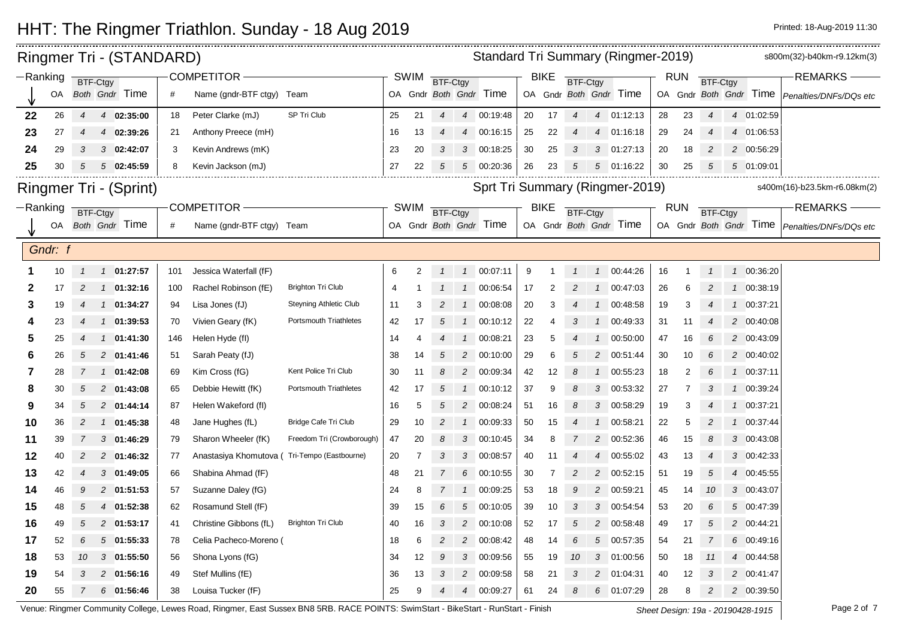| Ringmer Tri - (STANDARD)<br>COMPETITOR -<br>$-Ranking$<br><b>BTF-Ctgy</b> |         |                 |  |                               |     |                           |                               |    |             |                |                | <b>Standard Tri Summary (Ringmer-2019)</b> |    |             |                 |                |                        |    |            |                |               |                        | s800m(32)-b40km-r9.12km(3)                      |
|---------------------------------------------------------------------------|---------|-----------------|--|-------------------------------|-----|---------------------------|-------------------------------|----|-------------|----------------|----------------|--------------------------------------------|----|-------------|-----------------|----------------|------------------------|----|------------|----------------|---------------|------------------------|-------------------------------------------------|
|                                                                           |         |                 |  |                               |     |                           |                               |    | <b>SWIM</b> | BTF-Ctgy       |                |                                            |    | <b>BIKE</b> | BTF-Ctgy        |                |                        |    | <b>RUN</b> | BTF-Ctgy       |               |                        | <b>REMARKS</b>                                  |
|                                                                           | OA      |                 |  | Both Gndr Time                | #   | Name (gndr-BTF ctgy) Team |                               |    |             |                |                | OA Gndr Both Gndr Time                     |    |             |                 |                | OA Gndr Both Gndr Time |    |            |                |               | OA Gndr Both Gndr Time | Penalties/DNFs/DOs etc                          |
| 22                                                                        | 26      | $\overline{4}$  |  | 4 02:35:00                    | 18  | Peter Clarke (mJ)         | SP Tri Club                   | 25 | 21          | $\overline{4}$ |                | 4 00:19:48                                 | 20 | 17          | $\overline{4}$  |                | 4 01:12:13             | 28 | 23         | $\overline{4}$ |               | 4 01:02:59             |                                                 |
| 23                                                                        | 27      |                 |  | 4 02:39:26                    | 21  | Anthony Preece (mH)       |                               | 16 | 13          | 4              | $\overline{4}$ | 00:16:15                                   | 25 | 22          |                 | $\overline{4}$ | 01:16:18               | 29 | 24         |                |               | 4 01:06:53             |                                                 |
| 24                                                                        | 29      | 3               |  | $3$ 02:42:07                  | 3   | Kevin Andrews (mK)        |                               | 23 | 20          | $\mathbf{3}$   |                | 3 00:18:25                                 | 30 | 25          | 3               |                | 3 01:27:13             | 20 | 18         | 2              |               | 2 00:56:29             |                                                 |
| 25                                                                        | 30      | 5               |  | 502:45:59                     | 8   | Kevin Jackson (mJ)        |                               | 27 | 22          | 5              |                | 5 00:20:36                                 | 26 | 23          |                 | 5              | 01:16:22               | 30 | 25         | 5              |               | 5 01:09:01             |                                                 |
|                                                                           |         |                 |  | <b>Ringmer Tri - (Sprint)</b> |     |                           |                               |    |             |                |                | Sprt Tri Summary (Ringmer-2019)            |    |             |                 |                |                        |    |            |                |               |                        | s400m(16)-b23.5km-r6.08km(2)                    |
| $-Ranking$                                                                |         | <b>BTF-Ctgy</b> |  |                               |     | COMPETITOR-               |                               |    | SWIM        | BTF-Ctgy       |                |                                            |    | <b>BIKE</b> | <b>BTF-Ctgy</b> |                |                        |    | <b>RUN</b> | BTF-Ctgy       |               |                        | <b>REMARKS</b>                                  |
|                                                                           | OA      |                 |  | Both Gndr Time                | #   | Name (gndr-BTF ctgy) Team |                               |    |             |                |                | OA Gndr Both Gndr Time                     |    |             |                 |                | OA Gndr Both Gndr Time |    |            |                |               |                        | OA Gndr Both Gndr Time   Penalties/DNFs/DQs etc |
|                                                                           | Gndr: f |                 |  |                               |     |                           |                               |    |             |                |                |                                            |    |             |                 |                |                        |    |            |                |               |                        |                                                 |
|                                                                           | 10      | $\mathcal{I}$   |  | 1 01:27:57                    | 101 | Jessica Waterfall (fF)    |                               | 6  | 2           | $\mathcal{I}$  | $\overline{1}$ | 00:07:11                                   | 9  |             |                 | $\mathcal{I}$  | 00:44:26               | 16 | -1         | $\mathcal I$   |               | 1 00:36:20             |                                                 |
|                                                                           | 17      |                 |  | 1 01:32:16                    | 100 | Rachel Robinson (fE)      | <b>Brighton Tri Club</b>      | -4 |             |                | $\mathcal{I}$  | 00:06:54                                   | 17 |             |                 |                | 00:47:03               | 26 | 6          |                |               | 1 00:38:19             |                                                 |
|                                                                           | 19      | 4               |  | 1 01:34:27                    | 94  | Lisa Jones (fJ)           | <b>Steyning Athletic Club</b> | 11 | 3           | 2              | $\overline{1}$ | 00:08:08                                   | 20 | 3           |                 |                | 00:48:58               | 19 | 3          |                |               | 1 00:37:21             |                                                 |
|                                                                           | 23      | 4               |  | 1 01:39:53                    | 70  | Vivien Geary (fK)         | <b>Portsmouth Triathletes</b> | 42 | 17          | 5              | $\mathcal{I}$  | 00:10:12                                   | 22 |             | 3               |                | 00:49:33               | 31 | 11         |                |               | 2 00:40:08             |                                                 |
| 5                                                                         | 25      | 4               |  | 1 01:41:30                    | 146 | Helen Hyde (fl)           |                               | 14 | 4           | $\overline{4}$ | $\mathcal{I}$  | 00:08:21                                   | 23 | 5           |                 |                | 00:50:00               | 47 | 16         | 6              |               | 2 00:43:09             |                                                 |
| 6                                                                         | 26      | 5               |  | 2 01:41:46                    | 51  | Sarah Peaty (fJ)          |                               | 38 | 14          | 5              | $\overline{c}$ | 00:10:00                                   | 29 | 6           |                 | 2              | 00:51:44               | 30 | 10         |                |               | 2 00:40:02             |                                                 |
| 7                                                                         | 28      | $\overline{7}$  |  | $1$ 01:42:08                  | 69  | Kim Cross (fG)            | Kent Police Tri Club          | 30 | 11          | 8              |                | 2 00:09:34                                 | 42 | 12          | 8               | $\mathcal{I}$  | 00:55:23               | 18 | 2          | 6              |               | 1 00:37:11             |                                                 |
| 8                                                                         | 30      | 5               |  | 2 01:43:08                    | 65  | Debbie Hewitt (fK)        | Portsmouth Triathletes        | 42 | 17          | 5              | $\mathcal{I}$  | 00:10:12                                   | 37 | 9           | 8               | 3              | 00:53:32               | 27 | 7          |                | $\mathcal{I}$ | 00:39:24               |                                                 |
|                                                                           | 34      | 5               |  | 2 01:44:14                    | 87  | Helen Wakeford (fl)       |                               | 16 | 5           | 5              | 2              | 00:08:24                                   | 51 | 16          |                 | 3              | 00:58:29               | 19 | 3          |                | $\mathcal I$  | 00:37:21               |                                                 |
| 10                                                                        | 36      | 2               |  | 1 01:45:38                    | 48  | Jane Hughes (fL)          | Bridge Cafe Tri Club          | 29 | 10          | 2              |                | 1 00:09:33                                 | 50 | 15          |                 |                | 00:58:21               | 22 | 5          |                |               | 1 00:37:44             |                                                 |
| 11                                                                        | 39      | 7               |  | 3 01:46:29                    | 79  | Sharon Wheeler (fK)       | Freedom Tri (Crowborough)     | 47 | 20          | 8              | 3              | 00:10:45                                   | 34 | 8           |                 | 2              | 00:52:36               | 46 | 15         | 8              |               | 3 00:43:08             |                                                 |
| 12                                                                        | 40      | $\overline{c}$  |  | 2 01:46:32                    | 77  | Anastasiya Khomutova (    | Tri-Tempo (Eastbourne)        | 20 | 7           | 3              | $\mathcal{S}$  | 00:08:57                                   | 40 | 11          |                 | 4              | 00:55:02               | 43 | 13         | 4              |               | 3 00:42:33             |                                                 |
| 13                                                                        | 42      |                 |  | 3 01:49:05                    | 66  | Shabina Ahmad (fF)        |                               | 48 | 21          | $\overline{7}$ | 6              | 00:10:55                                   | 30 |             |                 | 2              | 00:52:15               | 51 | 19         | 5              |               | 4 00:45:55             |                                                 |
| 14                                                                        | 46      | 9               |  | 2 01:51:53                    | 57  | Suzanne Daley (fG)        |                               | 24 | 8           | $\overline{7}$ | $\mathcal{I}$  | 00:09:25                                   | 53 | 18          | 9               | $\overline{c}$ | 00:59:21               | 45 | 14         | 10             |               | 3 00:43:07             |                                                 |
| 15                                                                        | 48      | 5               |  | 4 01:52:38                    | 62  | Rosamund Stell (fF)       |                               | 39 | 15          | 6              | 5              | 00:10:05                                   | 39 | 10          | 3               | 3              | 00:54:54               | 53 | 20         | 6              |               | 5 00:47:39             |                                                 |
| 16                                                                        | 49      | 5               |  | 2 01:53:17                    | 41  | Christine Gibbons (fL)    | <b>Brighton Tri Club</b>      | 40 | 16          | 3              | $\overline{c}$ | 00:10:08                                   | 52 | 17          | 5               | $\mathfrak{p}$ | 00:58:48               | 49 | 17         | 5              |               | 2 00:44:21             |                                                 |
| 17                                                                        | 52      | 6               |  | 501:55:33                     | 78  | Celia Pacheco-Moreno (    |                               | 18 | 6           |                | 2              | 00:08:42                                   | 48 | 14          | 6               | $\overline{5}$ | 00:57:35               | 54 | 21         | 7              |               | 6 00:49:16             |                                                 |
| 18                                                                        | 53      | 10              |  | $3$ 01:55:50                  | 56  | Shona Lyons (fG)          |                               | 34 | 12          | 9              | $\mathcal{S}$  | 00:09:56                                   | 55 | 19          | 10              | 3              | 01:00:56               | 50 | 18         | 11             |               | 4 00:44:58             |                                                 |
| 19                                                                        | 54      | 3               |  | 2 01:56:16                    | 49  | Stef Mullins (fE)         |                               | 36 | 13          | 3              | 2              | 00:09:58                                   | 58 | 21          | 3               | 2              | 01:04:31               | 40 | 12         | 3              |               | 2 00:41:47             |                                                 |
| 20                                                                        | 55      | $\overline{7}$  |  | 6 01:56:46                    | 38  | Louisa Tucker (fF)        |                               | 25 | 9           | $\overline{4}$ | $\overline{4}$ | 00:09:27                                   | 61 | 24          | 8               | 6              | 01:07:29               | 28 | 8          | 2              |               | 2 00:39:50             |                                                 |

Venue: Ringmer Community College, Lewes Road, Ringmer, East Sussex BN8 5RB. RACE POINTS: SwimStart - BikeStart - RunStart - Finish Sheet Design: 19a - 20190428-1915 Page 2 of 7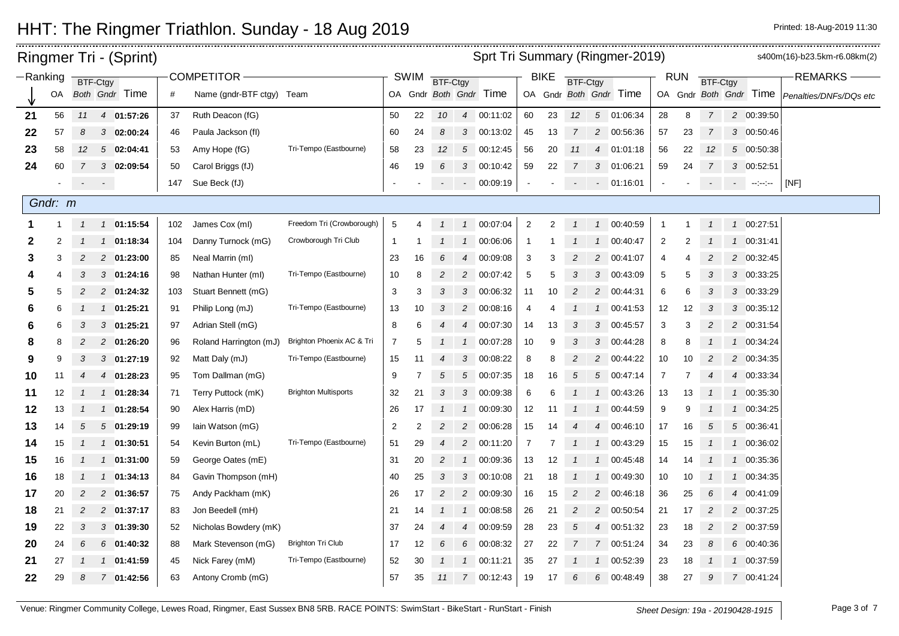|    |                                              |                         |               | Ringmer Tri - (Sprint)   |          |                                        |                             |                          |          |                |                   |                        |                          |          |                |                                  | Sprt Tri Summary (Ringmer-2019) |                |          |                |                |                                                                                          | s400m(16)-b23.5km-r6.08km(2) |
|----|----------------------------------------------|-------------------------|---------------|--------------------------|----------|----------------------------------------|-----------------------------|--------------------------|----------|----------------|-------------------|------------------------|--------------------------|----------|----------------|----------------------------------|---------------------------------|----------------|----------|----------------|----------------|------------------------------------------------------------------------------------------|------------------------------|
|    | -Ranking<br>BTF-Ctgy<br>Both Gndr Time<br>OA |                         |               | <b>COMPETITOR</b>        |          |                                        | <b>SWIM</b>                 | <b>BTF-Ctgy</b>          |          |                |                   | <b>BIKE</b>            | <b>BTF-Ctgy</b>          |          |                |                                  | <b>RUN</b>                      | BTF-Ctgy       |          |                | <b>REMARKS</b> |                                                                                          |                              |
|    |                                              |                         |               |                          | #        | Name (gndr-BTF ctgy) Team              |                             |                          |          |                |                   | OA Gndr Both Gndr Time |                          |          |                |                                  | OA Gndr Both Gndr Time          |                |          |                |                | OA Gndr Both Gndr Time                                                                   | Penalties/DNFs/DQs etc       |
| 21 | 56                                           | 11                      |               | 4 01:57:26               | 37       | Ruth Deacon (fG)                       |                             | 50                       | 22       | 10             | $\overline{4}$    | 00:11:02               | 60                       | 23       | 12             |                                  | 5 01:06:34                      | 28             | 8        | $\overline{7}$ |                | 2 00:39:50                                                                               |                              |
| 22 | 57                                           | 8                       |               | $3$ 02:00:24             | 46       | Paula Jackson (fl)                     |                             | 60                       | 24       | 8              | $\mathcal{S}$     | 00:13:02               | 45                       | 13       | $\overline{7}$ | 2                                | 00:56:36                        | 57             | 23       | $\overline{7}$ |                | 3 00:50:46                                                                               |                              |
| 23 | 58                                           | 12 <sup>2</sup>         |               | $5\quad 02:04:41$        | 53       | Amy Hope (fG)                          | Tri-Tempo (Eastbourne)      | 58                       | 23       | 12             | $5\overline{)}$   | 00:12:45               | 56                       | 20       | 11             | $\overline{4}$                   | 01:01:18                        | 56             | 22       | 12             |                | 5 00:50:38                                                                               |                              |
| 24 | 60                                           | $\overline{7}$          |               | 3 02:09:54               | 50       | Carol Briggs (fJ)                      |                             | 46                       | 19       | 6              | 3 <sup>1</sup>    | 00:10:42               | 59                       | 22       |                | 3                                | 01:06:21                        | 59             | 24       | 7              |                | 3 00:52:51                                                                               |                              |
|    |                                              | $\sigma_{\rm{max}}=0.5$ |               |                          | 147      | Sue Beck (fJ)                          |                             | $\overline{\phantom{a}}$ |          |                | $\sim$            | 00:09:19               | $\overline{\phantom{a}}$ |          |                | $\sim$                           | 01:16:01                        |                |          | $\sim$         |                | $\mathcal{L}_{\text{max}}$ and $\mathcal{L}_{\text{max}}$ and $\mathcal{L}_{\text{max}}$ | [NF]                         |
|    | Gndr: m                                      |                         |               |                          |          |                                        |                             |                          |          |                |                   |                        |                          |          |                |                                  |                                 |                |          |                |                |                                                                                          |                              |
|    |                                              | $\mathcal{I}$           |               | 1 01:15:54               | 102      | James Cox (ml)                         | Freedom Tri (Crowborough)   | $\sqrt{5}$               | 4        | $\mathcal{I}$  | $\mathcal{I}$     | 00:07:04               | $\overline{c}$           | 2        |                | $\mathcal{I}$                    | 00:40:59                        | $\mathbf{1}$   | -1       |                |                | 1 00:27:51                                                                               |                              |
| 2  |                                              |                         |               | 1 01:18:34               | 104      | Danny Turnock (mG)                     | Crowborough Tri Club        | $\overline{1}$           |          |                | $\mathbf{1}$      | 00:06:06               | $\overline{1}$           |          |                | $\mathbf{1}$                     | 00:40:47                        | $\overline{2}$ | 2        |                |                | 1 00:31:41                                                                               |                              |
| 3  | 3                                            | $\overline{c}$          |               | 2 01:23:00               | 85       | Neal Marrin (ml)                       |                             | 23                       | 16       | 6              | $\overline{4}$    | 00:09:08               | 3                        | 3        | $\overline{2}$ | 2                                | 00:41:07                        | 4              | 4        | 2              |                | 2 00:32:45                                                                               |                              |
|    |                                              | 3                       |               | $3$ 01:24:16             | 98       | Nathan Hunter (ml)                     | Tri-Tempo (Eastbourne)      | 10                       | 8        | $\overline{2}$ | $\overline{c}$    | 00:07:42               | 5                        | 5        | 3              | 3                                | 00:43:09                        | 5              | 5        | 3              |                | 3 00:33:25                                                                               |                              |
| 5  | 5                                            | $\overline{c}$          |               | 2 01:24:32               | 103      | Stuart Bennett (mG)                    |                             | 3                        | 3        | 3              |                   | 3 00:06:32             | 11                       | 10       | 2              | 2                                | 00:44:31                        | 6              | 6        | 3              |                | 3 00:33:29                                                                               |                              |
| 6  | 6                                            |                         |               | 1 01:25:21               | 91       | Philip Long (mJ)                       | Tri-Tempo (Eastbourne)      | 13                       | 10       | 3              | 2                 | 00:08:16               | 4                        |          |                |                                  | 00:41:53                        | 12             | 12       | 3              |                | 3 00:35:12                                                                               |                              |
|    | 6                                            | 3                       |               | $3$ 01:25:21             | 97       | Adrian Stell (mG)                      |                             | 8                        |          | 4              | $\overline{4}$    | 00:07:30               | 14                       | 13       | 3              | 3                                | 00:45:57                        | 3              | 3        | 2              |                | 2 00:31:54                                                                               |                              |
|    |                                              | 2                       |               | 2 01:26:20               | 96       | Roland Harrington (mJ)                 | Brighton Phoenix AC & Tri   | 7                        |          |                | $\mathcal{I}$     | 00:07:28               | 10                       | 9        | 3              | 3                                | 00:44:28                        | 8              | 8        |                |                | 1 00:34:24                                                                               |                              |
| 9  | 9                                            | 3                       |               | $3$ 01:27:19             | 92       | Matt Daly (mJ)                         | Tri-Tempo (Eastbourne)      | 15                       | 11       | $\overline{4}$ | 3                 | 00:08:22               | 8                        | 8        | $\overline{2}$ | 2                                | 00:44:22                        | 10             | 10       | 2              |                | 2 00:34:35                                                                               |                              |
| 10 | 11                                           | $\overline{4}$          |               | 4 01:28:23               | 95       | Tom Dallman (mG)                       |                             | 9                        | 7        | 5              | $\sqrt{5}$        | 00:07:35               | 18                       | 16       | 5              | 5                                | 00:47:14                        | 7              | 7        | $\overline{4}$ |                | 4 00:33:34                                                                               |                              |
| 11 | 12                                           | -1                      |               | 1 01:28:34               | 71       | Terry Puttock (mK)                     | <b>Brighton Multisports</b> | 32                       | 21       | 3              | 3                 | 00:09:38               | 6                        | 6        |                | $\mathcal I$                     | 00:43:26                        | 13             | 13       |                |                | 1 00:35:30                                                                               |                              |
| 12 | 13                                           | $\mathcal I$            |               | 1 01:28:54               | 90       | Alex Harris (mD)                       |                             | 26                       | 17       | $\mathcal{I}$  | $\mathcal{I}$     | 00:09:30               | 12                       | -11      |                | $\mathcal{I}$                    | 00:44:59                        | 9              | 9        |                |                | 1 00:34:25                                                                               |                              |
| 13 | 14                                           | 5                       |               | 501:29:19                | 99       | lain Watson (mG)                       |                             | $\overline{2}$           | 2        | $\overline{c}$ | $\overline{c}$    | 00:06:28               | 15                       |          |                | $\overline{4}$                   | 00:46:10                        | 17             | 16       | 5              |                | 5 00:36:41                                                                               |                              |
| 14 | 15                                           |                         |               | 1 01:30:51               | 54       | Kevin Burton (mL)                      | Tri-Tempo (Eastbourne)      | 51                       | 29       | $\overline{4}$ | $\overline{c}$    | 00:11:20               | $\overline{7}$           |          |                |                                  | 00:43:29                        | 15             | 15       |                | $\mathcal{I}$  | 00:36:02                                                                                 |                              |
| 15 | 16                                           | $\overline{1}$          |               | $1 \quad 01:31:00$       | 59       | George Oates (mE)                      |                             | 31                       | 20       | $\overline{2}$ |                   | 1 00:09:36             | 13                       | 12       |                | $\mathbf{1}$                     | 00:45:48                        | 14             | 14       |                |                | 1 00:35:36                                                                               |                              |
| 16 | 18                                           | $\overline{1}$          | $\mathcal{I}$ | 01:34:13                 | 84       | Gavin Thompson (mH)                    |                             | 40                       | 25       | 3              | 3                 | 00:10:08               | 21                       | 18       |                |                                  | 00:49:30                        | 10             | 10       |                | $\mathcal{I}$  | 00:34:35                                                                                 |                              |
| 17 | 20                                           | $\overline{c}$          |               | 2 01:36:57               | 75       | Andy Packham (mK)                      |                             | 26                       | 17       | $\overline{2}$ | $\overline{c}$    | 00:09:30               | 16                       | 15       | $\mathcal{P}$  | $\overline{2}$                   | 00:46:18                        | 36             | 25       | 6              | $\overline{4}$ | 00:41:09                                                                                 |                              |
| 18 | 21                                           | $\overline{c}$          |               | 2 01:37:17               | 83       | Jon Beedell (mH)                       |                             | 21                       | 14       |                |                   | 1 00:08:58             | 26                       | 21       | $\overline{2}$ | 2                                | 00:50:54                        | 21             | 17       | 2              |                | 2 00:37:25                                                                               |                              |
| 19 | 22                                           | 3                       |               | 3 01:39:30               | 52       | Nicholas Bowdery (mK)                  | <b>Brighton Tri Club</b>    | 37                       | 24       | $\overline{4}$ | 4                 | 00:09:59               | 28                       | 23       | 5              | $\overline{4}$<br>$\overline{7}$ | 00:51:32                        | 23             | 18       | 2              |                | 2 00:37:59                                                                               |                              |
| 20 | 24<br>27                                     | 6                       |               | 6 01:40:32<br>1 01:41:59 | 88<br>45 | Mark Stevenson (mG)<br>Nick Farey (mM) | Tri-Tempo (Eastbourne)      | 17<br>52                 | 12<br>30 | 6              | 6<br>$\mathbf{1}$ | 00:08:32<br>00:11:21   | 27<br>35                 | 22<br>27 |                |                                  | 00:51:24<br>00:52:39            | 34<br>23       | 23<br>18 | 8              |                | 6 00:40:36<br>1 00:37:59                                                                 |                              |
| 21 | 29                                           | 8                       |               | 7 01:42:56               |          | Antony Cromb (mG)                      |                             | 57                       | 35       | 11             |                   | 7 00:12:43             | 19                       | 17       | 6              | 6                                | 00:48:49                        | 38             | 27       | 9              |                | 7 00:41:24                                                                               |                              |
| 22 |                                              |                         |               |                          | 63       |                                        |                             |                          |          |                |                   |                        |                          |          |                |                                  |                                 |                |          |                |                |                                                                                          |                              |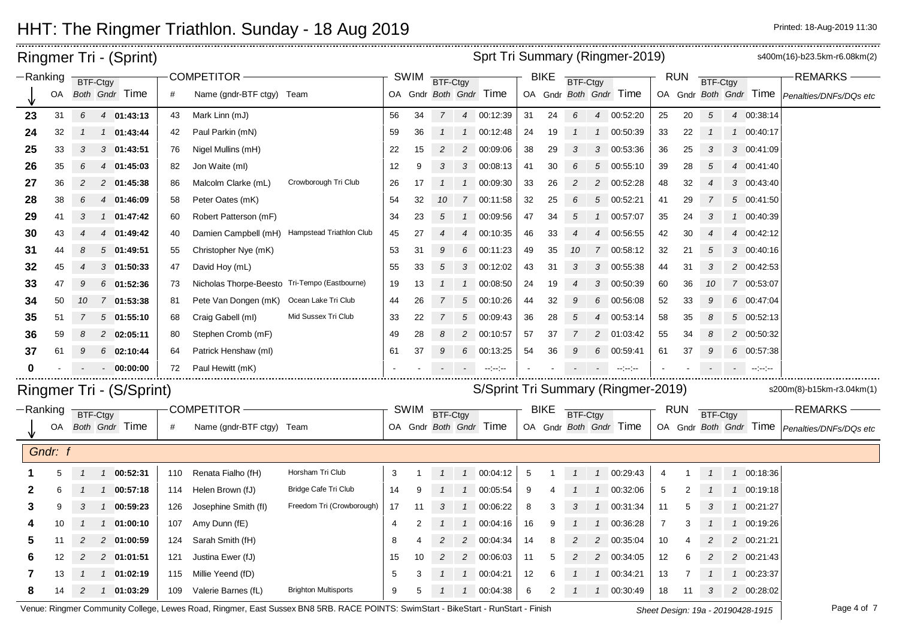| Sprt Tri Summary (Ringmer-2019)<br><b>Ringmer Tri - (Sprint)</b><br>-Ranking<br>COMPETITOR-<br><b>SWIM</b><br><b>BIKE</b><br><b>RUN</b> |         |                |                              |     |                                               |                             |    |             |                 |                |                                                                                       |    |             | s400m(16)-b23.5km-r6.08km(2) |                |                                                                                                                                                         |                |            |                 |               |                        |                                                 |
|-----------------------------------------------------------------------------------------------------------------------------------------|---------|----------------|------------------------------|-----|-----------------------------------------------|-----------------------------|----|-------------|-----------------|----------------|---------------------------------------------------------------------------------------|----|-------------|------------------------------|----------------|---------------------------------------------------------------------------------------------------------------------------------------------------------|----------------|------------|-----------------|---------------|------------------------|-------------------------------------------------|
|                                                                                                                                         |         |                | <b>BTF-Ctgy</b>              |     |                                               |                             |    |             | <b>BTF-Ctgy</b> |                |                                                                                       |    |             | <b>BTF-Ctgy</b>              |                |                                                                                                                                                         |                |            | <b>BTF-Ctgy</b> |               |                        | <b>REMARKS</b>                                  |
|                                                                                                                                         | OA      |                | Both Gndr Time               | #   | Name (gndr-BTF ctgy) Team                     |                             |    |             |                 |                | OA Gndr Both Gndr Time                                                                |    |             |                              |                | OA Gndr Both Gndr Time                                                                                                                                  |                |            |                 |               | OA Gndr Both Gndr Time | Penalties/DNFs/DQs etc                          |
| 23                                                                                                                                      | 31      | 6              | 4 01:43:13                   | 43  | Mark Linn (mJ)                                |                             | 56 | 34          | $7^{\circ}$     |                | 4 00:12:39                                                                            | 31 | 24          | 6                            | $\overline{4}$ | 00:52:20                                                                                                                                                | 25             | 20         | 5               |               | 4 00:38:14             |                                                 |
| 24                                                                                                                                      | 32      |                | 01:43:44<br>$\mathcal{I}$    | 42  | Paul Parkin (mN)                              |                             | 59 | 36          | $\mathcal{I}$   |                | 1 00:12:48                                                                            | 24 | 19          |                              | $\mathcal I$   | 00:50:39                                                                                                                                                | 33             | 22         | $\overline{1}$  |               | 1 00:40:17             |                                                 |
| 25                                                                                                                                      | 33      | 3              | $3$ 01:43:51                 | 76  | Nigel Mullins (mH)                            |                             | 22 | 15          | 2               |                | 2 00:09:06                                                                            | 38 | 29          | 3                            | 3              | 00:53:36                                                                                                                                                | 36             | 25         | 3               |               | 3 00:41:09             |                                                 |
| 26                                                                                                                                      | 35      | 6              | 4 01:45:03                   | 82  | Jon Waite (ml)                                |                             | 12 | 9           | 3               |                | 3 00:08:13                                                                            | 41 | 30          | 6                            | 5              | 00:55:10                                                                                                                                                | 39             | 28         | 5               |               | 4 00:41:40             |                                                 |
| 27                                                                                                                                      | 36      | 2              | 2 01:45:38                   | 86  | Malcolm Clarke (mL)                           | Crowborough Tri Club        | 26 | 17          | $\mathcal{I}$   |                | 1 00:09:30                                                                            | 33 | 26          | 2                            | $\overline{2}$ | 00:52:28                                                                                                                                                | 48             | 32         | $\overline{4}$  |               | 3 00:43:40             |                                                 |
| 28                                                                                                                                      | 38      | 6              | 4 01:46:09                   | 58  | Peter Oates (mK)                              |                             | 54 | 32          | 10              |                | 7 00:11:58                                                                            | 32 | 25          | 6                            | $\sqrt{5}$     | 00:52:21                                                                                                                                                | 41             | 29         | 7               |               | 5 00:41:50             |                                                 |
| 29                                                                                                                                      | 41      | 3              | 1 01:47:42                   | 60  | Robert Patterson (mF)                         |                             | 34 | 23          | 5               | $\mathcal{I}$  | 00:09:56                                                                              | 47 | 34          | 5                            |                | 00:57:07                                                                                                                                                | 35             | 24         | 3               |               | 1 00:40:39             |                                                 |
| 30                                                                                                                                      | 43      |                | 4 01:49:42                   | 40  | Damien Campbell (mH)                          | Hampstead Triathlon Club    | 45 | 27          |                 |                | 4 00:10:35                                                                            | 46 | 33          |                              | $\overline{4}$ | 00:56:55                                                                                                                                                | 42             | 30         | $\overline{4}$  |               | 4 00:42:12             |                                                 |
| 31                                                                                                                                      | 44      | 8              | 501:49:51                    | 55  | Christopher Nye (mK)                          |                             | 53 | 31          | 9               | 6              | 00:11:23                                                                              | 49 | 35          | 10                           | $\overline{7}$ | 00:58:12                                                                                                                                                | 32             | 21         | 5               |               | 3 00:40:16             |                                                 |
| 32                                                                                                                                      | 45      | $\overline{4}$ | 301:50:33                    | 47  | David Hoy (mL)                                |                             | 55 | 33          | 5               | $\mathcal{S}$  | 00:12:02                                                                              | 43 | 31          | 3                            | 3              | 00:55:38                                                                                                                                                | 44             | 31         | 3               |               | 2 00:42:53             |                                                 |
| 33                                                                                                                                      | 47      | S              | 6 01:52:36                   | 73  | Nicholas Thorpe-Beesto Tri-Tempo (Eastbourne) |                             | 19 | 13          | $\mathcal{I}$   |                | 1 00:08:50                                                                            | 24 | 19          |                              | 3              | 00:50:39                                                                                                                                                | 60             | 36         | 10              |               | 7 00:53:07             |                                                 |
| 34                                                                                                                                      | 50      | 10             | 7 01:53:38                   | 81  | Pete Van Dongen (mK) Ocean Lake Tri Club      |                             | 44 | 26          | 7               | $\sqrt{5}$     | 00:10:26                                                                              | 44 | 32          | 9                            | 6              | 00:56:08                                                                                                                                                | 52             | 33         | 9               |               | 6 00:47:04             |                                                 |
| 35                                                                                                                                      | 51      | 7              | 501:55:10                    | 68  | Craig Gabell (ml)                             | Mid Sussex Tri Club         | 33 | 22          | 7               | $\sqrt{5}$     | 00:09:43                                                                              | 36 | 28          | 5                            | $\overline{4}$ | 00:53:14                                                                                                                                                | 58             | 35         | 8               |               | 5 00:52:13             |                                                 |
| 36                                                                                                                                      | 59      |                | 2 02:05:11                   | 80  | Stephen Cromb (mF)                            |                             | 49 | 28          | 8               | $\overline{c}$ | 00:10:57                                                                              | 57 | 37          |                              | $\overline{2}$ | 01:03:42                                                                                                                                                | 55             | 34         | 8               |               | 2 00:50:32             |                                                 |
| 37                                                                                                                                      | 61      |                | 6 02:10:44                   | 64  | Patrick Henshaw (ml)                          |                             | 61 | 37          | 9               | 6              | 00:13:25                                                                              | 54 | 36          |                              | 6              | 00:59:41                                                                                                                                                | 61             | 37         | 9               |               | 6 00:57:38             |                                                 |
| 0                                                                                                                                       |         |                | 00:00:00<br>$\sim$           | 72  | Paul Hewitt (mK)                              |                             |    |             |                 |                | $\frac{1}{2} \left( \frac{1}{2} \right)$ and $\frac{1}{2} \left( \frac{1}{2} \right)$ |    |             |                              |                | $\begin{aligned} \mathcal{L}_{\mathcal{F}}(\mathcal{L}_{\mathcal{F}}) = \frac{1}{2} \mathcal{L}_{\mathcal{F}}(\mathcal{L}_{\mathcal{F}}) \end{aligned}$ |                |            |                 |               | $-2 - 2 - 2 - 1$       |                                                 |
|                                                                                                                                         |         |                | Ringmer Tri - (S/Sprint)     |     |                                               |                             |    |             |                 |                |                                                                                       |    |             |                              |                | S/Sprint Tri Summary (Ringmer-2019)                                                                                                                     |                |            |                 |               |                        | s200m(8)-b15km-r3.04km(1)                       |
| -Ranking                                                                                                                                |         |                |                              |     | COMPETITOR -                                  |                             |    | <b>SWIM</b> |                 |                |                                                                                       |    | <b>BIKE</b> |                              |                |                                                                                                                                                         |                | <b>RUN</b> |                 |               |                        | <b>REMARKS</b>                                  |
|                                                                                                                                         | OA      |                | BTF-Ctgy<br>Both Gndr Time   | #   | Name (gndr-BTF ctgy) Team                     |                             |    |             | BTF-Ctgy        |                | OA Gndr Both Gndr Time                                                                |    |             | <b>BTF-Ctgy</b>              |                | OA Gndr Both Gndr Time                                                                                                                                  |                |            | <b>BTF-Ctgy</b> |               |                        | OA Gndr Both Gndr Time   Penalties/DNFs/DQs etc |
|                                                                                                                                         |         |                |                              |     |                                               |                             |    |             |                 |                |                                                                                       |    |             |                              |                |                                                                                                                                                         |                |            |                 |               |                        |                                                 |
|                                                                                                                                         | Gndr: f |                |                              |     |                                               |                             |    |             |                 |                |                                                                                       |    |             |                              |                |                                                                                                                                                         |                |            |                 |               |                        |                                                 |
|                                                                                                                                         | 5       | $\mathbf{1}$   | 1 00:52:31                   | 110 | Renata Fialho (fH)                            | Horsham Tri Club            | 3  |             | $\mathcal{I}$   |                | 1 00:04:12                                                                            | 5  |             |                              | $\overline{1}$ | 00:29:43                                                                                                                                                | 4              |            |                 |               | 1 00:18:36             |                                                 |
| 2                                                                                                                                       | 6       |                | 1 00:57:18                   | 114 | Helen Brown (fJ)                              | Bridge Cafe Tri Club        | 14 | 9           |                 |                | 1 00:05:54                                                                            | 9  |             |                              | $\overline{1}$ | 00:32:06                                                                                                                                                | 5              |            |                 |               | 1 00:19:18             |                                                 |
| 3                                                                                                                                       | 9       | 3              | $1$ 00:59:23                 | 126 | Josephine Smith (fl)                          | Freedom Tri (Crowborough)   | 17 | 11          | 3               |                | 1 00:06:22                                                                            | 8  | 3           | 3                            | $\overline{1}$ | 00:31:34                                                                                                                                                | 11             | 5          | 3               |               | 1 00:21:27             |                                                 |
|                                                                                                                                         | 10      |                | 01:00:10<br>$\left  \right $ | 107 | Amy Dunn (fE)                                 |                             | 4  | 2           |                 | $\overline{1}$ | 00:04:16                                                                              | 16 | 9           |                              |                | 00:36:28                                                                                                                                                | $\overline{7}$ | 3          |                 | $\mathcal{I}$ | 00:19:26               |                                                 |
| 5                                                                                                                                       | 11      | 2              | 2 01:00:59                   | 124 | Sarah Smith (fH)                              |                             | 8  |             |                 | $\overline{2}$ | 00:04:34                                                                              | 14 | 8           |                              | $\overline{2}$ | 00:35:04                                                                                                                                                | 10             |            |                 |               | 2 00:21:21             |                                                 |
| 6                                                                                                                                       | 12      | 2              | 2 01:01:51                   | 121 | Justina Ewer (fJ)                             |                             | 15 | 10          |                 |                | 2 00:06:03                                                                            | 11 | 5           |                              | $\overline{c}$ | 00:34:05                                                                                                                                                | 12             | 6          | $\overline{c}$  |               | 2 00:21:43             |                                                 |
| 7                                                                                                                                       | 13      |                | 01:02:19<br>$\mathcal{I}$    | 115 | Millie Yeend (fD)                             |                             | 5  | 3           |                 | $\mathcal{I}$  | 00:04:21                                                                              | 12 | 6           |                              |                | 00:34:21                                                                                                                                                | 13             |            |                 |               | 1 00:23:37             |                                                 |
| 8                                                                                                                                       | 14      | 2              | 01:03:29<br>$\mathcal{I}$    | 109 | Valerie Barnes (fL)                           | <b>Brighton Multisports</b> | 9  | 5           |                 | $\mathcal{I}$  | 00:04:38                                                                              | 6  | 2           |                              | $\mathbf{1}$   | 00:30:49                                                                                                                                                | 18             | 11         | 3               |               | 2 00:28:02             |                                                 |

Venue: Ringmer Community College, Lewes Road, Ringmer, East Sussex BN8 5RB. RACE POINTS: SwimStart - BikeStart - RunStart - Finish Sheet Design: 19a - 20190428-1915 Page 4 of 7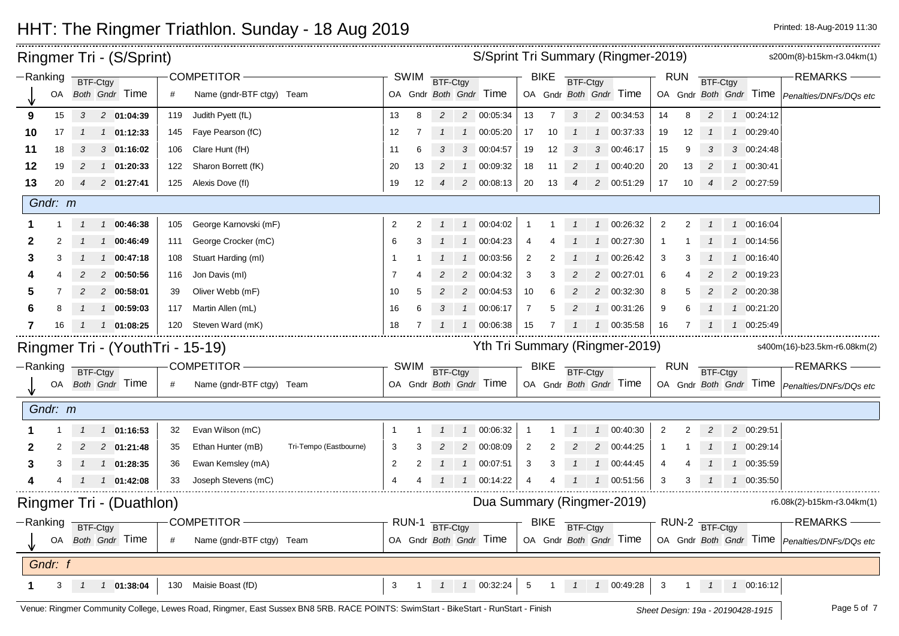|            |          |               | Ringmer Tri - (S/Sprint)         |     |                           |                        | S/Sprint Tri Summary (Ringmer-2019) |                   |                |                |                            |                 |                |          |                |                                |                | s200m(8)-b15km-r3.04km(1) |                 |                                    |                                                 |
|------------|----------|---------------|----------------------------------|-----|---------------------------|------------------------|-------------------------------------|-------------------|----------------|----------------|----------------------------|-----------------|----------------|----------|----------------|--------------------------------|----------------|---------------------------|-----------------|------------------------------------|-------------------------------------------------|
| $-Ranking$ |          |               | BTF-Ctgy                         |     | COMPETITOR -              |                        |                                     | SWIM              | BTF-Ctgy       |                |                            |                 | <b>BIKE</b>    | BTF-Ctgy |                |                                |                | <b>RUN</b>                | BTF-Ctgy        |                                    | <b>REMARKS</b>                                  |
|            | OA       |               | <b>Both Gndr Time</b>            | #   | Name (gndr-BTF ctgy) Team |                        |                                     |                   |                |                | OA Gndr Both Gndr Time     |                 |                |          |                | OA Gndr Both Gndr Time         |                |                           |                 |                                    | OA Gndr Both Gndr Time Penalties/DNFs/DQs etc   |
| 9          | 15       | $3^{\circ}$   | 2 01:04:39                       | 119 | Judith Pyett (fL)         |                        | 13                                  | 8                 | $\overline{2}$ |                | 2 00:05:34                 | 13              | 7              | 3        |                | 2 00:34:53                     | 14             | 8                         | $\overline{c}$  | 1 00:24:12                         |                                                 |
| 10         | 17       | $\mathcal{I}$ | $1$ 01:12:33                     | 145 | Faye Pearson (fC)         |                        | 12                                  | 7                 |                | $\overline{1}$ | 00:05:20                   | 17              | 10             |          |                | 1 00:37:33                     | 19             | 12                        |                 | 1 00:29:40                         |                                                 |
| 11         | 18       | 3             | 301:16:02                        | 106 | Clare Hunt (fH)           |                        | 11                                  | 6                 | 3              | 3              | 00:04:57                   | 19              | 12             | 3        | 3              | 00:46:17                       | 15             | 9                         |                 | 3 00:24:48                         |                                                 |
| 12         | 19       | 2             | 1 01:20:33                       | 122 | Sharon Borrett (fK)       |                        | 20                                  | 13                | $\overline{2}$ |                | 1 00:09:32                 | 18              | 11             | 2        |                | 1 00:40:20                     | 20             | 13                        | 2               | 1 00:30:41                         |                                                 |
| 13         | 20       | 4             | 2 01:27:41                       |     | 125 Alexis Dove (fl)      |                        | 19                                  | $12 \overline{ }$ |                |                | 2 00:08:13                 | 20              | 13             | 4        |                | 2 00:51:29                     | 17             | 10                        | $\overline{4}$  | 2 00:27:59                         |                                                 |
|            | Gndr: m  |               |                                  |     |                           |                        |                                     |                   |                |                |                            |                 |                |          |                |                                |                |                           |                 |                                    |                                                 |
|            |          |               | 1 00:46:38                       | 105 | George Karnovski (mF)     |                        | $\overline{2}$                      |                   |                |                | 1 00:04:02                 | -1              |                |          |                | 1 00:26:32                     | $\overline{2}$ | 2                         |                 | 1 00:16:04                         |                                                 |
| 2          |          |               | 1 00:46:49                       | 111 | George Crocker (mC)       |                        | 6                                   |                   |                | $\frac{1}{2}$  | 00:04:23                   | 4               |                |          | $\mathcal{I}$  | 00:27:30                       |                |                           |                 | 1 00:14:56                         |                                                 |
| З          |          |               | 00:47:18<br>$\mathcal{I}$        | 108 | Stuart Harding (ml)       |                        | -1                                  |                   |                | $\mathcal{I}$  | 00:03:56                   | $\overline{2}$  |                |          |                | 00:26:42                       | 3              | 3                         |                 | 1 00:16:40                         |                                                 |
|            |          |               | 2 00:50:56                       | 116 | Jon Davis (ml)            |                        | -7                                  |                   |                | 2              | 00:04:32                   | 3               | 3              |          | 2              | 00:27:01                       | 6              |                           |                 | 2 00:19:23                         |                                                 |
|            |          |               | 2 00:58:01                       | 39  | Oliver Webb (mF)          |                        | 10                                  |                   |                | 2              | 00:04:53                   | 10              | 6              |          | $\overline{2}$ | 00:32:30                       | 8              | 5                         |                 | 2 00:20:38                         |                                                 |
| 6          |          |               | 1 00:59:03                       | 117 | Martin Allen (mL)         |                        | 16                                  | 6                 | 3              | $\mathcal{I}$  | 00:06:17                   | $\overline{7}$  | 5              |          | $\mathcal I$   | 00:31:26                       | 9              | 6                         |                 | 1 00:21:20                         |                                                 |
| 7          | 16       |               | 1 01:08:25                       | 120 | Steven Ward (mK)          |                        | 18                                  | 7                 |                |                | 00:06:38                   | 15              |                |          |                | 1 00:35:58                     | 16             |                           |                 | 1 00:25:49                         |                                                 |
|            |          |               | Ringmer Tri - (YouthTri - 15-19) |     |                           |                        |                                     |                   |                |                |                            |                 |                |          |                | Yth Tri Summary (Ringmer-2019) |                |                           |                 |                                    | s400m(16)-b23.5km-r6.08km(2)                    |
|            | -Ranking |               | BTF-Ctgy                         |     | <b>COMPETITOR -</b>       |                        |                                     | SWIM              | BTF-Ctgy       |                |                            |                 | <b>BIKE</b>    | BTF-Ctgy |                |                                |                | <b>RUN</b>                | <b>BTF-Ctgy</b> |                                    | <b>REMARKS</b>                                  |
|            |          |               | OA Both Gndr Time                | #   | Name (gndr-BTF ctgy) Team |                        |                                     |                   |                |                | OA Gndr Both Gndr Time     |                 |                |          |                | OA Gndr Both Gndr Time         |                |                           |                 |                                    | OA Gndr Both Gndr Time   Penalties/DNFs/DQs etc |
|            | Gndr: m  |               |                                  |     |                           |                        |                                     |                   |                |                |                            |                 |                |          |                |                                |                |                           |                 |                                    |                                                 |
|            |          |               | 1 1 01:16:53                     | 32  | Evan Wilson (mC)          |                        | -1                                  |                   |                |                | 1 1 00:06:32               | $\overline{1}$  |                |          |                | 1 00:40:30                     | $\overline{2}$ | 2                         | $\overline{c}$  | 2 00:29:51                         |                                                 |
|            |          |               | 2 01:21:48                       | 35  | Ethan Hunter (mB)         | Tri-Tempo (Eastbourne) | 3                                   |                   | 2              | $\overline{2}$ | 00:08:09                   | $\overline{2}$  |                |          | $\overline{c}$ | 00:44:25                       |                |                           |                 | 1 00:29:14                         |                                                 |
| З          |          |               | $1 \quad 1 \quad 01:28:35$       | 36  | Ewan Kemsley (mA)         |                        | $\overline{c}$                      | $\overline{2}$    |                |                | 1  1  00:07:51             | 3               | 3              |          |                | 1 00:44:45                     | 4              |                           |                 | 1 00:35:59                         |                                                 |
|            |          |               | 1 01:42:08                       | 33  | Joseph Stevens (mC)       |                        | $\overline{4}$                      |                   |                |                | 00:14:22                   | $\overline{4}$  |                |          |                | 1 00:51:56                     | 3              | 3                         |                 | 1 00:35:50                         |                                                 |
|            |          |               | Ringmer Tri - (Duathlon)         |     |                           |                        |                                     |                   |                |                | Dua Summary (Ringmer-2019) |                 |                |          |                |                                |                |                           |                 |                                    | r6.08k(2)-b15km-r3.04km(1)                      |
|            | -Ranking |               | BTF-Ctgy                         |     | COMPETITOR-               |                        |                                     |                   | RUN-1 BTF-Ctgy |                |                            |                 | <b>BIKE</b>    | BTF-Ctgy |                |                                |                | RUN-2 BTF-Ctgy            |                 |                                    | <b>REMARKS</b>                                  |
|            |          |               | OA Both Gndr Time                | #   | Name (gndr-BTF ctgy) Team |                        |                                     |                   |                |                | OA Gndr Both Gndr Time     |                 |                |          |                | OA Gndr Both Gndr Time         |                |                           |                 |                                    | OA Gndr Both Gndr Time Penalties/DNFs/DQs etc   |
|            | Gndr: f  |               |                                  |     |                           |                        |                                     |                   |                |                |                            |                 |                |          |                |                                |                |                           |                 |                                    |                                                 |
|            | 3        |               | 1 1 01:38:04                     | 130 | Maisie Boast (fD)         |                        | 3                                   | $\mathbf{1}$      |                |                | $1 \quad 1 \quad 00:32:24$ | $5\phantom{.0}$ | $\overline{1}$ |          |                | 1 1 00:49:28                   | $\mathbf{3}$   |                           |                 | $1 \quad 1 \quad 1 \quad 00:16:12$ |                                                 |

Venue: Ringmer Community College, Lewes Road, Ringmer, East Sussex BN8 5RB. RACE POINTS: SwimStart - BikeStart - RunStart - Finish Sheet Design: 19a - 20190428-1915 Page 5 of 7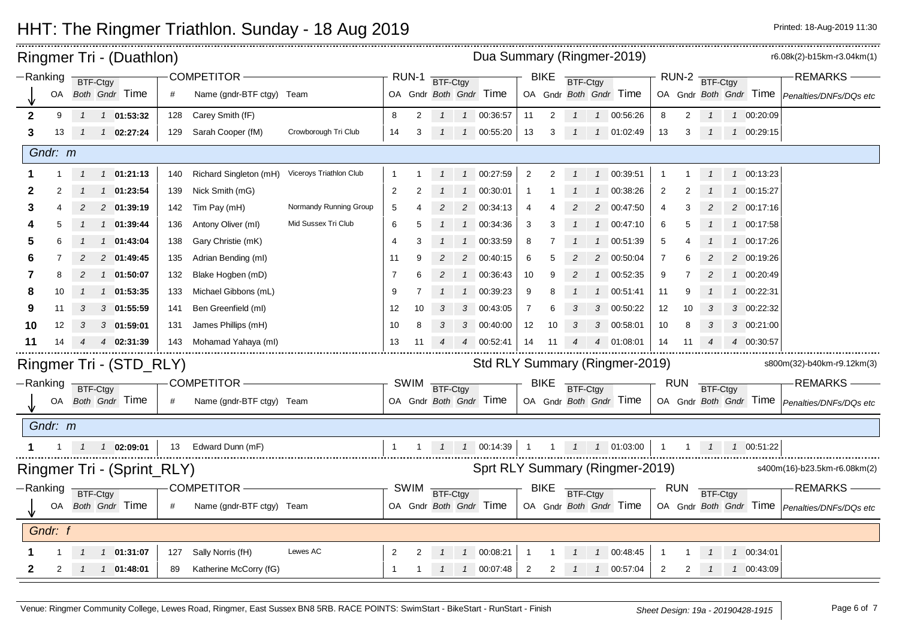|              |          |                | Ringmer Tri - (Duathlon)           |     |                           |                         | Dua Summary (Ringmer-2019) |                |               |               |                        |                |             |               |                |                                 |                | r6.08k(2)-b15km-r3.04km(1) |                |                |                   |                                                      |
|--------------|----------|----------------|------------------------------------|-----|---------------------------|-------------------------|----------------------------|----------------|---------------|---------------|------------------------|----------------|-------------|---------------|----------------|---------------------------------|----------------|----------------------------|----------------|----------------|-------------------|------------------------------------------------------|
|              | -Ranking | BTF-Ctgy       |                                    |     | <b>COMPETITOR -</b>       |                         |                            | RUN-1          | BTF-Ctgy      |               |                        |                | <b>BIKE</b> | BTF-Ctgy      |                |                                 |                |                            |                | RUN-2 BTF-Ctgy |                   | <b>REMARKS</b>                                       |
|              | OA       |                | Both Gndr Time                     | #   | Name (gndr-BTF ctgy) Team |                         |                            |                |               |               | OA Gndr Both Gndr Time |                |             |               |                | OA Gndr Both Gndr Time          |                |                            |                |                |                   | OA Gndr Both Gndr Time Penalties/DNFs/DQs etc        |
| $\mathbf{2}$ | 9        |                | 1 1 01:53:32                       | 128 | Carey Smith (fF)          |                         | 8                          | 2              |               |               | 1  1  00:36:57         | 11             | 2           |               |                | 1  1  00:56:26                  | 8              | $\overline{2}$             |                |                | 1 00:20:09        |                                                      |
| 3            | 13       | $\mathcal{I}$  | $1 \quad 02:27:24$                 | 129 | Sarah Cooper (fM)         | Crowborough Tri Club    | 14                         | 3              |               |               | 1  1  00:55:20         | 13             | 3           |               |                | 1 1 01:02:49                    | 13             | 3                          | $\overline{1}$ |                | 1 00:29:15        |                                                      |
|              | Gndr: m  |                |                                    |     |                           |                         |                            |                |               |               |                        |                |             |               |                |                                 |                |                            |                |                |                   |                                                      |
|              |          |                | $1 \quad 01:21:13$                 | 140 | Richard Singleton (mH)    | Viceroys Triathlon Club |                            |                |               |               | 1  1  00:27:59         | 2              |             | $\mathcal{I}$ |                | 1 00:39:51                      |                |                            |                |                | 1  1  00:13:23    |                                                      |
| 2            |          |                | 1 01:23:54                         | 139 | Nick Smith (mG)           |                         | $\overline{2}$             |                |               |               | 1 00:30:01             | $\mathbf{1}$   |             |               | $\overline{1}$ | 00:38:26                        | $\overline{2}$ |                            |                |                | 1 00:15:27        |                                                      |
| 3            |          |                | 2 01:39:19                         | 142 | Tim Pay (mH)              | Normandy Running Group  | 5                          |                |               |               | 2 00:34:13             | -4             |             |               | 2              | 00:47:50                        | 4              | 3                          |                |                | 2 00:17:16        |                                                      |
|              |          |                | 1 01:39:44                         | 136 | Antony Oliver (ml)        | Mid Sussex Tri Club     | 6                          |                |               |               | 1 00:34:36             | 3              |             |               | $\overline{1}$ | 00:47:10                        | 6              | 5                          |                |                | 1 00:17:58        |                                                      |
| 5            |          |                | 1 01:43:04                         | 138 | Gary Christie (mK)        |                         | 4                          | З              |               |               | 1 00:33:59             | 8              |             |               |                | 00:51:39                        | 5              |                            |                |                | 1 00:17:26        |                                                      |
|              |          |                | 2 01:49:45                         | 135 | Adrian Bending (ml)       |                         | 11                         | 9              |               |               | 2 00:40:15             | 6              |             |               | $\overline{2}$ | 00:50:04                        | 7              |                            |                |                | 2 00:19:26        |                                                      |
| 7            | 8        | $\overline{c}$ | 1 01:50:07                         | 132 | Blake Hogben (mD)         |                         | 7                          |                | 2             |               | 1 00:36:43             | 10             | 9           | 2             | $\overline{1}$ | 00:52:35                        | 9              |                            | 2              |                | 1 00:20:49        |                                                      |
|              | 10       |                | 1 01:53:35                         | 133 | Michael Gibbons (mL)      |                         | 9                          |                |               |               | 1 00:39:23             | 9              | 8           |               |                | 00:51:41                        | 11             | 9                          |                |                | 1 00:22:31        |                                                      |
| 9            | 11       |                | 3 01:55:59                         | 141 | Ben Greenfield (ml)       |                         | 12                         | 10             |               |               | 3 00:43:05             | $\overline{7}$ |             |               | 3              | 00:50:22                        | 12             | 10                         |                |                | 3 00:22:32        |                                                      |
| 10           | 12       | 3              | $3$ 01:59:01                       | 131 | James Phillips (mH)       |                         | 10                         | 8              |               |               | 3 00:40:00             | 12             | 10          | 3             | 3              | 00:58:01                        | 10             | 8                          | 3              |                | 3 00:21:00        |                                                      |
| 11           | 14       |                | 4 02:31:39                         | 143 | Mohamad Yahaya (ml)       |                         | 13                         | 11             |               |               | 4 00:52:41             | 14             | -11         |               |                | 4 01:08:01                      | 14             | 11                         |                |                | 4 00:30:57        |                                                      |
|              |          |                | Ringmer Tri - (STD_RLY)            |     |                           |                         |                            |                |               |               |                        |                |             |               |                | Std RLY Summary (Ringmer-2019)  |                |                            |                |                |                   | s800m(32)-b40km-r9.12km(3)                           |
|              | Ranking  | BTF-Ctgy       |                                    |     | COMPETITOR-               |                         |                            | <b>SWIM</b>    | BTF-Ctgy      |               |                        |                | <b>BIKE</b> | BTF-Ctgy      |                |                                 |                | <b>RUN</b>                 | BTF-Ctgy       |                |                   | <b>REMARKS-</b>                                      |
|              |          |                | OA Both Gndr Time                  | #   | Name (gndr-BTF ctgy) Team |                         |                            |                |               |               | OA Gndr Both Gndr Time |                |             |               |                | OA Gndr Both Gndr Time          |                |                            |                |                |                   | OA Gndr Both Gndr Time   Penalties/DNFs/DQs etc      |
|              | Gndr: m  |                |                                    |     |                           |                         |                            |                |               |               |                        |                |             |               |                |                                 |                |                            |                |                |                   |                                                      |
|              |          |                | $1 \quad 1 \quad 1 \quad 02:09:01$ | 13  | Edward Dunn (mF)          |                         |                            | $\overline{1}$ |               |               | 1 1 00:14:39           | $\overline{1}$ |             |               |                | 1  1  1  01:03:00               | $\overline{1}$ |                            |                |                | 1  1  1  00:51:22 |                                                      |
|              |          |                | Ringmer Tri - (Sprint_RLY)         |     |                           |                         |                            |                |               |               |                        |                |             |               |                | Sprt RLY Summary (Ringmer-2019) |                |                            |                |                |                   | s400m(16)-b23.5km-r6.08km(2)                         |
|              | -Ranking | BTF-Ctgy       |                                    |     | COMPETITOR-               |                         |                            |                | SWIM BTF-Ctgy |               |                        |                | <b>BIKE</b> | BTF-Ctgy      |                |                                 |                | RUN                        | BTF-Ctgy       |                |                   | <b>REMARKS</b>                                       |
|              |          |                | OA Both Gndr Time                  | #   | Name (gndr-BTF ctgy) Team |                         |                            |                |               |               | OA Gndr Both Gndr Time |                |             |               |                | OA Gndr Both Gndr Time          |                |                            |                |                |                   | OA Gndr Both Gndr Time <i>Penalties/DNFs/DQs etc</i> |
|              | Gndr: f  |                |                                    |     |                           |                         |                            |                |               |               |                        |                |             |               |                |                                 |                |                            |                |                |                   |                                                      |
|              |          |                | 1 01:31:07                         | 127 | Sally Norris (fH)         | Lewes AC                | $\overline{2}$             |                |               |               | 1 00:08:21             |                |             |               |                | 1 00:48:45                      |                |                            |                |                | 1 00:34:01        |                                                      |
| 2            | 2        | $\overline{1}$ | $1 \quad 01:48:01$                 | 89  | Katherine McCorry (fG)    |                         | $\mathbf{1}$               | -1             | $\mathcal{I}$ | $\mathcal{I}$ | 00:07:48               | $\overline{2}$ | 2           |               | $\mathcal{I}$  | 00:57:04                        | 2              | 2                          | $\mathcal{I}$  |                | 1 00:43:09        |                                                      |

- Oak (column 1): This is your open position across all finishing competitors, both male and female and female and female and female and female and female and female and female and female and female and female and female